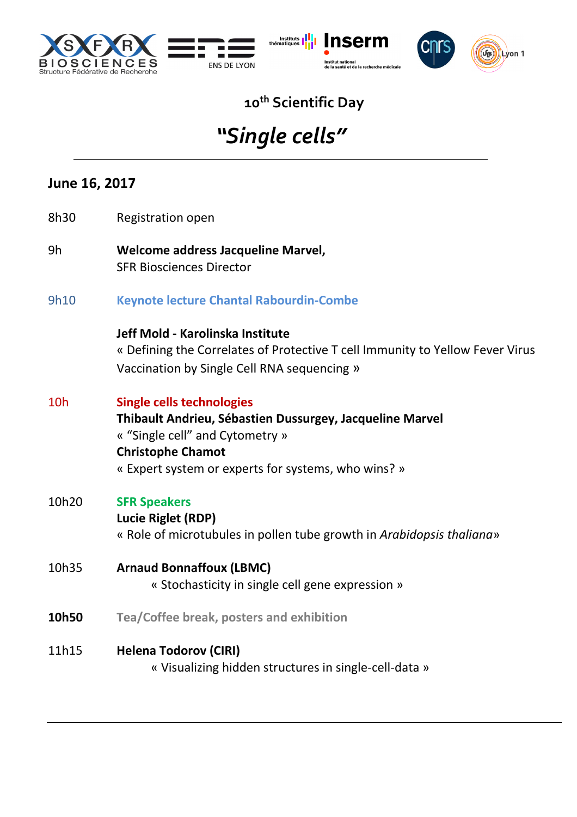







### **10th Scientific Day**

## *"Single cells"*

#### **June 16, 2017**

- 8h30 Registration open
- 9h **Welcome address Jacqueline Marvel,** SFR Biosciences Director
- 9h10 **Keynote lecture Chantal Rabourdin-Combe**

#### **Jeff Mold - Karolinska Institute**  « Defining the Correlates of Protective T cell Immunity to Yellow Fever Virus Vaccination by Single Cell RNA sequencing »

- 10h **Single cells technologies Thibault Andrieu, Sébastien Dussurgey, Jacqueline Marvel**  « "Single cell" and Cytometry » **Christophe Chamot**  « Expert system or experts for systems, who wins? »
- 10h20 **SFR Speakers**
	- **Lucie Riglet (RDP)**

« Role of microtubules in pollen tube growth in *Arabidopsis thaliana*»

- 10h35 **Arnaud Bonnaffoux (LBMC)**  « Stochasticity in single cell gene expression »
- **10h50 Tea/Coffee break, posters and exhibition**
- 11h15 **Helena Todorov (CIRI)**

« Visualizing hidden structures in single-cell-data »